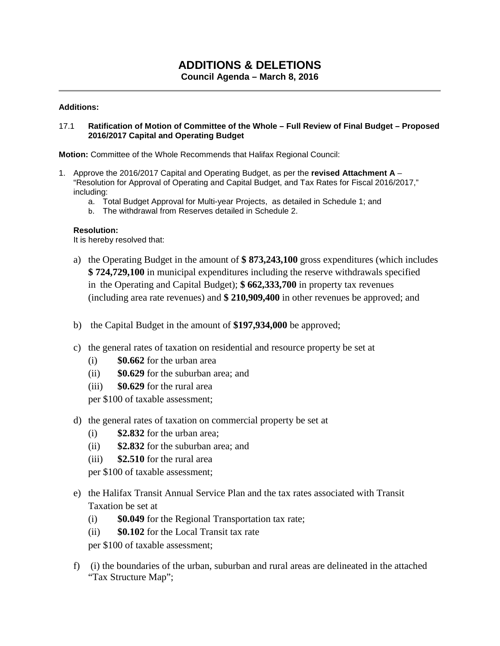# **ADDITIONS & DELETIONS Council Agenda – March 8, 2016**

### **Additions:**

#### 17.1 **Ratification of Motion of Committee of the Whole – Full Review of Final Budget – Proposed 2016/2017 Capital and Operating Budget**

**Motion:** Committee of the Whole Recommends that Halifax Regional Council:

- 1. Approve the 2016/2017 Capital and Operating Budget, as per the **revised Attachment A** "Resolution for Approval of Operating and Capital Budget, and Tax Rates for Fiscal 2016/2017," including:
	- a. Total Budget Approval for Multi-year Projects, as detailed in Schedule 1; and
	- b. The withdrawal from Reserves detailed in Schedule 2.

#### **Resolution:**

It is hereby resolved that:

- a) the Operating Budget in the amount of **\$ 873,243,100** gross expenditures (which includes **\$ 724,729,100** in municipal expenditures including the reserve withdrawals specified in the Operating and Capital Budget); **\$ 662,333,700** in property tax revenues (including area rate revenues) and **\$ 210,909,400** in other revenues be approved; and
- b) the Capital Budget in the amount of **\$197,934,000** be approved;
- c) the general rates of taxation on residential and resource property be set at
	- (i) **\$0.662** for the urban area
	- (ii) **\$0.629** for the suburban area; and
	- (iii) **\$0.629** for the rural area

per \$100 of taxable assessment;

- d) the general rates of taxation on commercial property be set at
	- (i) **\$2.832** for the urban area;
	- (ii) **\$2.832** for the suburban area; and
	- (iii) **\$2.510** for the rural area

per \$100 of taxable assessment;

- e) the Halifax Transit Annual Service Plan and the tax rates associated with Transit Taxation be set at
	- (i) **\$0.049** for the Regional Transportation tax rate;
	- (ii) **\$0.102** for the Local Transit tax rate

per \$100 of taxable assessment;

f) (i) the boundaries of the urban, suburban and rural areas are delineated in the attached "Tax Structure Map";